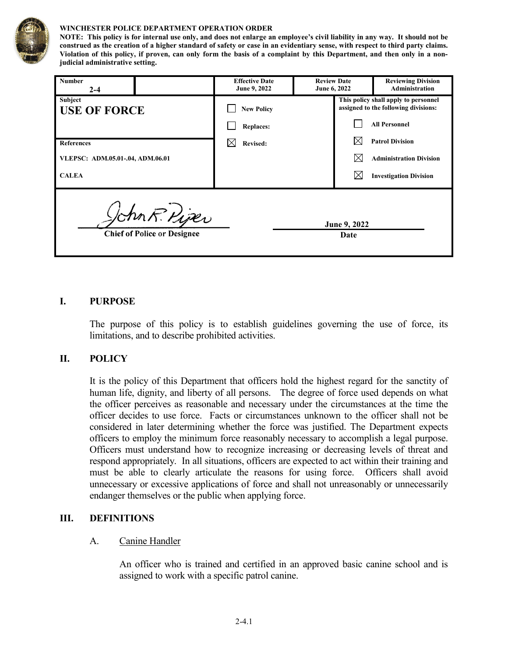

#### **WINCHESTER POLICE DEPARTMENT OPERATION ORDER**

**NOTE: This policy is for internal use only, and does not enlarge an employee's civil liability in any way. It should not be construed as the creation of a higher standard of safety or case in an evidentiary sense, with respect to third party claims. Violation of this policy, if proven, can only form the basis of a complaint by this Department, and then only in a nonjudicial administrative setting.**

| <b>Number</b><br>$2 - 4$         |                                                     | <b>Effective Date</b><br>June 9, 2022 | <b>Review Date</b><br>June 6, 2022 |                                                                              | <b>Reviewing Division</b><br><b>Administration</b> |
|----------------------------------|-----------------------------------------------------|---------------------------------------|------------------------------------|------------------------------------------------------------------------------|----------------------------------------------------|
| Subject<br><b>USE OF FORCE</b>   |                                                     | <b>New Policy</b>                     |                                    | This policy shall apply to personnel<br>assigned to the following divisions: |                                                    |
|                                  |                                                     | <b>Replaces:</b>                      |                                    |                                                                              | <b>All Personnel</b>                               |
| <b>References</b>                |                                                     | <b>Revised:</b>                       |                                    |                                                                              | <b>Patrol Division</b>                             |
| VLEPSC: ADM.05.01-.04, ADM.06.01 |                                                     |                                       |                                    |                                                                              | <b>Administration Division</b>                     |
| <b>CALEA</b>                     |                                                     |                                       |                                    |                                                                              | <b>Investigation Division</b>                      |
|                                  | John R. Piper<br><b>Chief of Police or Designee</b> |                                       |                                    | June 9, 2022<br>Date                                                         |                                                    |

#### **I. PURPOSE**

The purpose of this policy is to establish guidelines governing the use of force, its limitations, and to describe prohibited activities.

#### **II. POLICY**

It is the policy of this Department that officers hold the highest regard for the sanctity of human life, dignity, and liberty of all persons. The degree of force used depends on what the officer perceives as reasonable and necessary under the circumstances at the time the officer decides to use force. Facts or circumstances unknown to the officer shall not be considered in later determining whether the force was justified. The Department expects officers to employ the minimum force reasonably necessary to accomplish a legal purpose. Officers must understand how to recognize increasing or decreasing levels of threat and respond appropriately. In all situations, officers are expected to act within their training and must be able to clearly articulate the reasons for using force. Officers shall avoid unnecessary or excessive applications of force and shall not unreasonably or unnecessarily endanger themselves or the public when applying force.

#### **III. DEFINITIONS**

#### A. Canine Handler

An officer who is trained and certified in an approved basic canine school and is assigned to work with a specific patrol canine.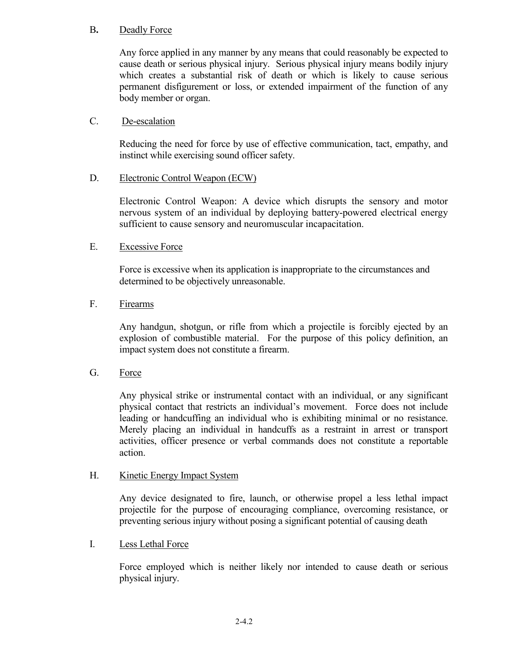## B**.** Deadly Force

Any force applied in any manner by any means that could reasonably be expected to cause death or serious physical injury. Serious physical injury means bodily injury which creates a substantial risk of death or which is likely to cause serious permanent disfigurement or loss, or extended impairment of the function of any body member or organ.

### C. De-escalation

Reducing the need for force by use of effective communication, tact, empathy, and instinct while exercising sound officer safety.

## D. Electronic Control Weapon (ECW)

Electronic Control Weapon: A device which disrupts the sensory and motor nervous system of an individual by deploying battery-powered electrical energy sufficient to cause sensory and neuromuscular incapacitation.

## E. Excessive Force

Force is excessive when its application is inappropriate to the circumstances and determined to be objectively unreasonable.

### F. Firearms

Any handgun, shotgun, or rifle from which a projectile is forcibly ejected by an explosion of combustible material. For the purpose of this policy definition, an impact system does not constitute a firearm.

### G. Force

Any physical strike or instrumental contact with an individual, or any significant physical contact that restricts an individual's movement. Force does not include leading or handcuffing an individual who is exhibiting minimal or no resistance. Merely placing an individual in handcuffs as a restraint in arrest or transport activities, officer presence or verbal commands does not constitute a reportable action.

### H. Kinetic Energy Impact System

Any device designated to fire, launch, or otherwise propel a less lethal impact projectile for the purpose of encouraging compliance, overcoming resistance, or preventing serious injury without posing a significant potential of causing death

### I. Less Lethal Force

Force employed which is neither likely nor intended to cause death or serious physical injury.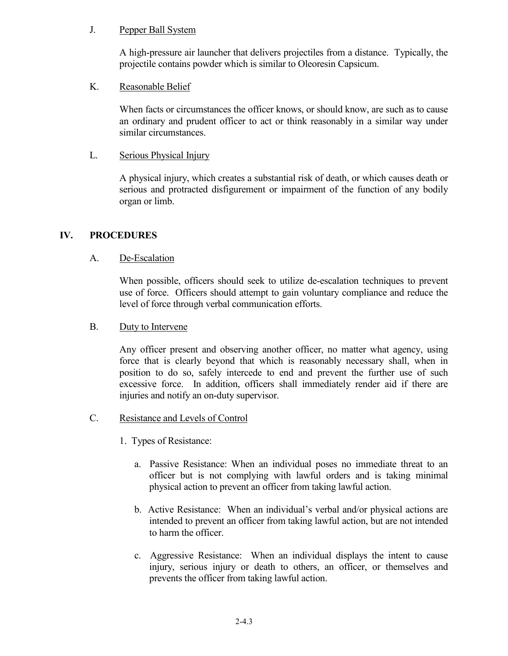## J. Pepper Ball System

A high-pressure air launcher that delivers projectiles from a distance. Typically, the projectile contains powder which is similar to Oleoresin Capsicum.

## K. Reasonable Belief

When facts or circumstances the officer knows, or should know, are such as to cause an ordinary and prudent officer to act or think reasonably in a similar way under similar circumstances.

## L. Serious Physical Injury

A physical injury, which creates a substantial risk of death, or which causes death or serious and protracted disfigurement or impairment of the function of any bodily organ or limb.

## **IV. PROCEDURES**

## A. De-Escalation

When possible, officers should seek to utilize de-escalation techniques to prevent use of force. Officers should attempt to gain voluntary compliance and reduce the level of force through verbal communication efforts.

### B. Duty to Intervene

Any officer present and observing another officer, no matter what agency, using force that is clearly beyond that which is reasonably necessary shall, when in position to do so, safely intercede to end and prevent the further use of such excessive force. In addition, officers shall immediately render aid if there are injuries and notify an on-duty supervisor.

### C. Resistance and Levels of Control

- 1. Types of Resistance:
	- a. Passive Resistance: When an individual poses no immediate threat to an officer but is not complying with lawful orders and is taking minimal physical action to prevent an officer from taking lawful action.
	- b. Active Resistance: When an individual's verbal and/or physical actions are intended to prevent an officer from taking lawful action, but are not intended to harm the officer.
	- c. Aggressive Resistance: When an individual displays the intent to cause injury, serious injury or death to others, an officer, or themselves and prevents the officer from taking lawful action.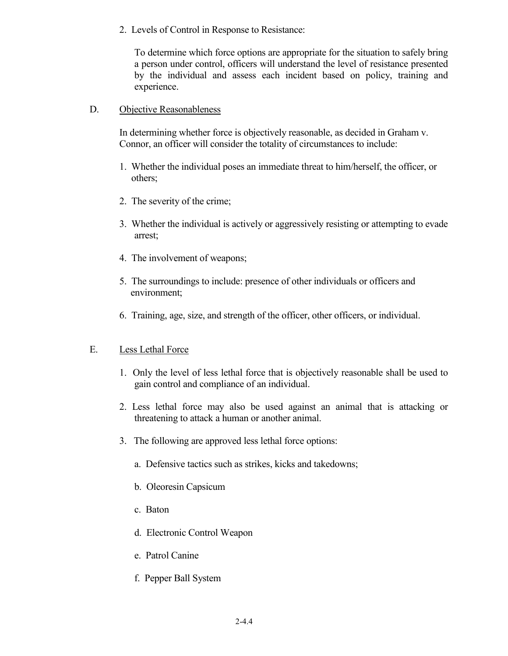2. Levels of Control in Response to Resistance:

To determine which force options are appropriate for the situation to safely bring a person under control, officers will understand the level of resistance presented by the individual and assess each incident based on policy, training and experience.

### D. Objective Reasonableness

In determining whether force is objectively reasonable, as decided in Graham v. Connor, an officer will consider the totality of circumstances to include:

- 1. Whether the individual poses an immediate threat to him/herself, the officer, or others;
- 2. The severity of the crime;
- 3. Whether the individual is actively or aggressively resisting or attempting to evade arrest;
- 4. The involvement of weapons;
- 5. The surroundings to include: presence of other individuals or officers and environment;
- 6. Training, age, size, and strength of the officer, other officers, or individual.

#### E. Less Lethal Force

- 1. Only the level of less lethal force that is objectively reasonable shall be used to gain control and compliance of an individual.
- 2. Less lethal force may also be used against an animal that is attacking or threatening to attack a human or another animal.
- 3. The following are approved less lethal force options:
	- a. Defensive tactics such as strikes, kicks and takedowns;
	- b. Oleoresin Capsicum
	- c. Baton
	- d. Electronic Control Weapon
	- e. Patrol Canine
	- f. Pepper Ball System